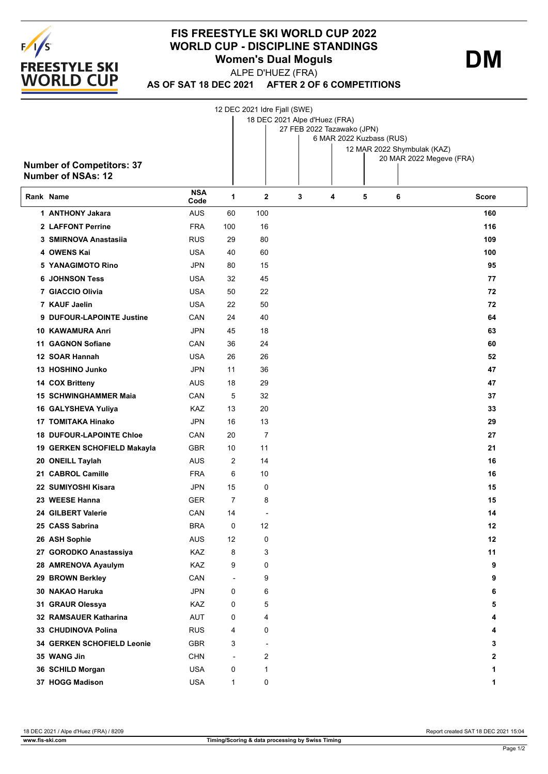

## **FIS FREESTYLE SKI WORLD CUP 2022 WORLD CUP - DISCIPLINE STANDINGS Women's Dual Moguls**

**DM**

**AS OF SAT 18 DEC 2021 AFTER 2 OF 6 COMPETITIONS** ALPE D'HUEZ (FRA)

|                           |                                  |                    | 12 DEC 2021 Idre Fjall (SWE)<br>18 DEC 2021 Alpe d'Huez (FRA)<br>27 FEB 2022 Tazawako (JPN) |                          |   |                          |   |                             |              |  |
|---------------------------|----------------------------------|--------------------|---------------------------------------------------------------------------------------------|--------------------------|---|--------------------------|---|-----------------------------|--------------|--|
|                           |                                  |                    |                                                                                             |                          |   | 6 MAR 2022 Kuzbass (RUS) |   |                             |              |  |
|                           |                                  |                    |                                                                                             |                          |   |                          |   | 12 MAR 2022 Shymbulak (KAZ) |              |  |
|                           | <b>Number of Competitors: 37</b> |                    |                                                                                             |                          |   |                          |   | 20 MAR 2022 Megeve (FRA)    |              |  |
| <b>Number of NSAs: 12</b> |                                  |                    |                                                                                             |                          |   |                          |   |                             |              |  |
|                           | Rank Name                        | <b>NSA</b><br>Code | 1                                                                                           | $\overline{2}$           | 3 | 4                        | 5 | 6                           | <b>Score</b> |  |
|                           | 1 ANTHONY Jakara                 | <b>AUS</b>         | 60                                                                                          | 100                      |   |                          |   |                             | 160          |  |
|                           | 2 LAFFONT Perrine                | <b>FRA</b>         | 100                                                                                         | 16                       |   |                          |   |                             | 116          |  |
|                           | 3 SMIRNOVA Anastasiia            | <b>RUS</b>         | 29                                                                                          | 80                       |   |                          |   |                             | 109          |  |
|                           | 4 OWENS Kai                      | <b>USA</b>         | 40                                                                                          | 60                       |   |                          |   |                             | 100          |  |
|                           | <b>5 YANAGIMOTO Rino</b>         | JPN                | 80                                                                                          | 15                       |   |                          |   |                             | 95           |  |
|                           | <b>6 JOHNSON Tess</b>            | <b>USA</b>         | 32                                                                                          | 45                       |   |                          |   |                             | 77           |  |
|                           | 7 GIACCIO Olivia                 | <b>USA</b>         | 50                                                                                          | 22                       |   |                          |   |                             | 72           |  |
|                           | 7 KAUF Jaelin                    | <b>USA</b>         | 22                                                                                          | 50                       |   |                          |   |                             | 72           |  |
|                           | 9 DUFOUR-LAPOINTE Justine        | CAN                | 24                                                                                          | 40                       |   |                          |   |                             | 64           |  |
|                           | 10 KAWAMURA Anri                 | JPN                | 45                                                                                          | 18                       |   |                          |   |                             | 63           |  |
|                           | <b>11 GAGNON Sofiane</b>         | CAN                | 36                                                                                          | 24                       |   |                          |   |                             | 60           |  |
|                           | 12 SOAR Hannah                   | <b>USA</b>         | 26                                                                                          | 26                       |   |                          |   |                             | 52           |  |
|                           | 13 HOSHINO Junko                 | <b>JPN</b>         | 11                                                                                          | 36                       |   |                          |   |                             | 47           |  |
|                           | 14 COX Britteny                  | AUS                | 18                                                                                          | 29                       |   |                          |   |                             | 47           |  |
|                           | <b>15 SCHWINGHAMMER Maia</b>     | CAN                | 5                                                                                           | 32                       |   |                          |   |                             | 37           |  |
|                           | 16 GALYSHEVA Yuliya              | KAZ                | 13                                                                                          | 20                       |   |                          |   |                             | 33           |  |
|                           | 17 TOMITAKA Hinako               | JPN                | 16                                                                                          | 13                       |   |                          |   |                             | 29           |  |
|                           | <b>18 DUFOUR-LAPOINTE Chloe</b>  | CAN                | 20                                                                                          | 7                        |   |                          |   |                             | 27           |  |
|                           | 19 GERKEN SCHOFIELD Makayla      | <b>GBR</b>         | 10                                                                                          | 11                       |   |                          |   |                             | 21           |  |
|                           | 20 ONEILL Taylah                 | AUS                | 2                                                                                           | 14                       |   |                          |   |                             | 16           |  |
|                           | 21 CABROL Camille                | <b>FRA</b>         | 6                                                                                           | 10                       |   |                          |   |                             | 16           |  |
|                           | 22 SUMIYOSHI Kisara              | <b>JPN</b>         | 15                                                                                          | 0                        |   |                          |   |                             | 15           |  |
|                           | 23 WEESE Hanna                   | <b>GER</b>         | $\overline{7}$                                                                              | 8                        |   |                          |   |                             | 15           |  |
|                           | 24 GILBERT Valerie               | CAN                | 14                                                                                          |                          |   |                          |   |                             | 14           |  |
|                           | 25 CASS Sabrina                  | <b>BRA</b>         | 0                                                                                           | 12                       |   |                          |   |                             | 12           |  |
|                           | 26 ASH Sophie                    | AUS                | 12                                                                                          | 0                        |   |                          |   |                             | 12           |  |
|                           | 27 GORODKO Anastassiya           | KAZ                | 8                                                                                           | 3                        |   |                          |   |                             | 11           |  |
|                           | 28 AMRENOVA Ayaulym              | KAZ                | 9                                                                                           | 0                        |   |                          |   |                             | 9            |  |
|                           | 29 BROWN Berkley                 | CAN                | $\overline{\phantom{a}}$                                                                    | 9                        |   |                          |   |                             | 9            |  |
|                           | 30 NAKAO Haruka                  | JPN                | 0                                                                                           | 6                        |   |                          |   |                             | 6            |  |
|                           | 31 GRAUR Olessya                 | KAZ                | 0                                                                                           | 5                        |   |                          |   |                             | 5            |  |
|                           | 32 RAMSAUER Katharina            | AUT                | 0                                                                                           | 4                        |   |                          |   |                             | 4            |  |
|                           | 33 CHUDINOVA Polina              | <b>RUS</b>         | 4                                                                                           | 0                        |   |                          |   |                             | 4            |  |
|                           | 34 GERKEN SCHOFIELD Leonie       | <b>GBR</b>         | 3                                                                                           | $\overline{\phantom{a}}$ |   |                          |   |                             | 3            |  |
|                           | 35 WANG Jin                      | <b>CHN</b>         | ÷,                                                                                          | 2                        |   |                          |   |                             | 2            |  |
|                           | 36 SCHILD Morgan                 | <b>USA</b>         | 0                                                                                           | 1                        |   |                          |   |                             | 1            |  |
|                           | 37 HOGG Madison                  | <b>USA</b>         | 1                                                                                           | 0                        |   |                          |   |                             | 1            |  |

18 DEC 2021 / Alpe d'Huez (FRA) / 8209 Report created SAT 18 DEC 2021 15:04